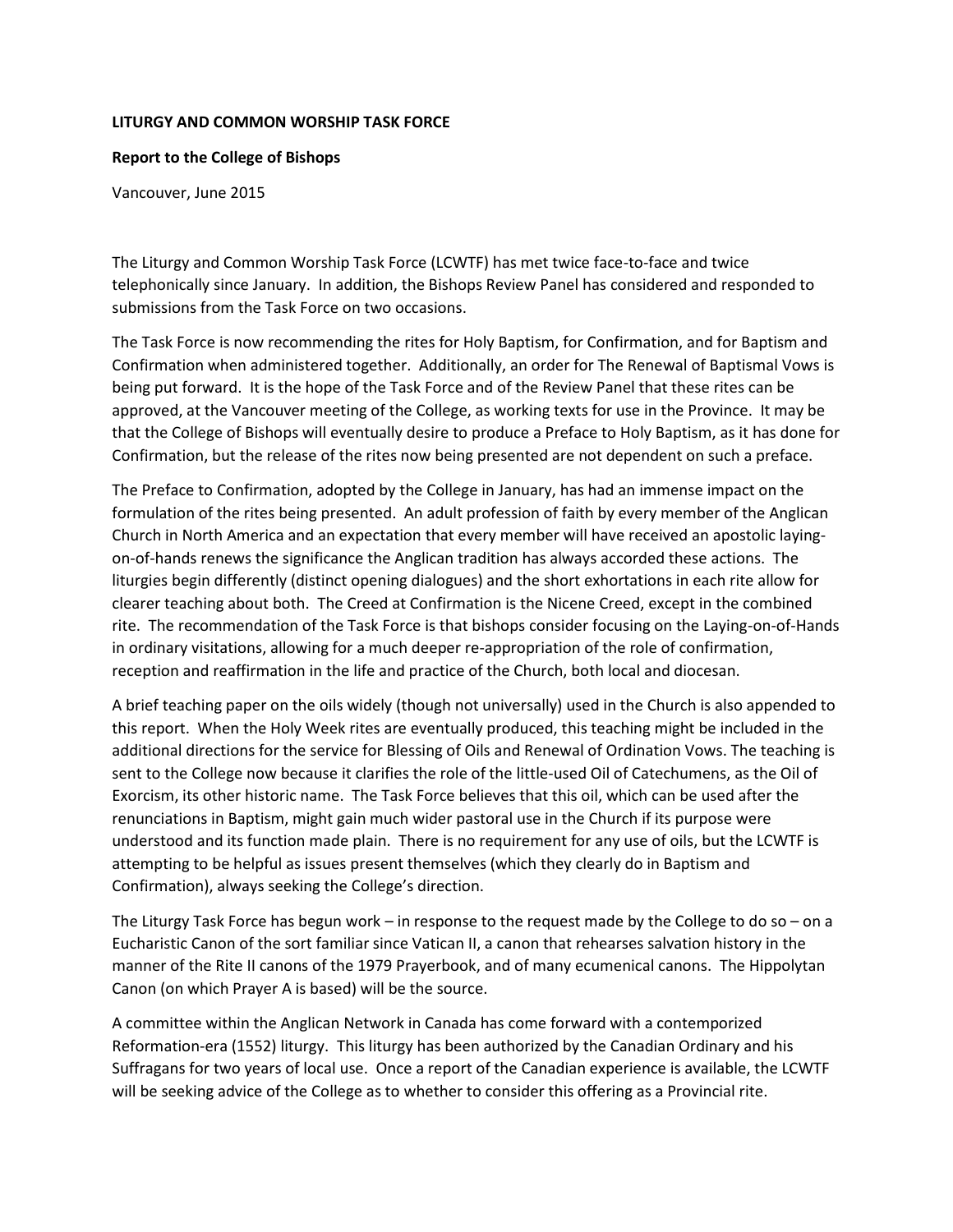## **LITURGY AND COMMON WORSHIP TASK FORCE**

## **Report to the College of Bishops**

Vancouver, June 2015

The Liturgy and Common Worship Task Force (LCWTF) has met twice face-to-face and twice telephonically since January. In addition, the Bishops Review Panel has considered and responded to submissions from the Task Force on two occasions.

The Task Force is now recommending the rites for Holy Baptism, for Confirmation, and for Baptism and Confirmation when administered together. Additionally, an order for The Renewal of Baptismal Vows is being put forward. It is the hope of the Task Force and of the Review Panel that these rites can be approved, at the Vancouver meeting of the College, as working texts for use in the Province. It may be that the College of Bishops will eventually desire to produce a Preface to Holy Baptism, as it has done for Confirmation, but the release of the rites now being presented are not dependent on such a preface.

The Preface to Confirmation, adopted by the College in January, has had an immense impact on the formulation of the rites being presented. An adult profession of faith by every member of the Anglican Church in North America and an expectation that every member will have received an apostolic layingon-of-hands renews the significance the Anglican tradition has always accorded these actions. The liturgies begin differently (distinct opening dialogues) and the short exhortations in each rite allow for clearer teaching about both. The Creed at Confirmation is the Nicene Creed, except in the combined rite. The recommendation of the Task Force is that bishops consider focusing on the Laying-on-of-Hands in ordinary visitations, allowing for a much deeper re-appropriation of the role of confirmation, reception and reaffirmation in the life and practice of the Church, both local and diocesan.

A brief teaching paper on the oils widely (though not universally) used in the Church is also appended to this report. When the Holy Week rites are eventually produced, this teaching might be included in the additional directions for the service for Blessing of Oils and Renewal of Ordination Vows. The teaching is sent to the College now because it clarifies the role of the little-used Oil of Catechumens, as the Oil of Exorcism, its other historic name. The Task Force believes that this oil, which can be used after the renunciations in Baptism, might gain much wider pastoral use in the Church if its purpose were understood and its function made plain. There is no requirement for any use of oils, but the LCWTF is attempting to be helpful as issues present themselves (which they clearly do in Baptism and Confirmation), always seeking the College's direction.

The Liturgy Task Force has begun work – in response to the request made by the College to do so – on a Eucharistic Canon of the sort familiar since Vatican II, a canon that rehearses salvation history in the manner of the Rite II canons of the 1979 Prayerbook, and of many ecumenical canons. The Hippolytan Canon (on which Prayer A is based) will be the source.

A committee within the Anglican Network in Canada has come forward with a contemporized Reformation-era (1552) liturgy. This liturgy has been authorized by the Canadian Ordinary and his Suffragans for two years of local use. Once a report of the Canadian experience is available, the LCWTF will be seeking advice of the College as to whether to consider this offering as a Provincial rite.